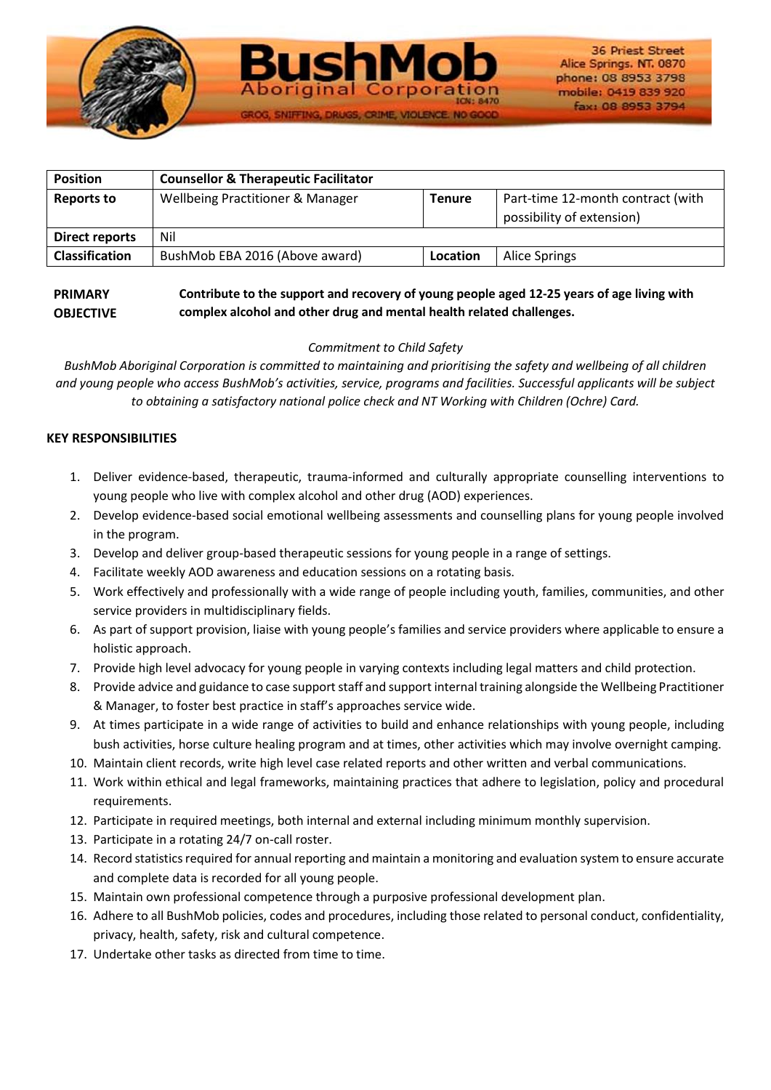

| <b>Position</b>       | <b>Counsellor &amp; Therapeutic Facilitator</b> |               |                                                                |
|-----------------------|-------------------------------------------------|---------------|----------------------------------------------------------------|
| <b>Reports to</b>     | Wellbeing Practitioner & Manager                | <b>Tenure</b> | Part-time 12-month contract (with<br>possibility of extension) |
| <b>Direct reports</b> | Nil                                             |               |                                                                |
| <b>Classification</b> | BushMob EBA 2016 (Above award)                  | Location      | Alice Springs                                                  |

IOG, SNIFFING, DRUGS, CRIME, VIOLENCE

### **PRIMARY OBJECTIVE Contribute to the support and recovery of young people aged 12-25 years of age living with complex alcohol and other drug and mental health related challenges.**

# *Commitment to Child Safety*

*BushMob Aboriginal Corporation is committed to maintaining and prioritising the safety and wellbeing of all children and young people who access BushMob's activities, service, programs and facilities. Successful applicants will be subject to obtaining a satisfactory national police check and NT Working with Children (Ochre) Card.*

# **KEY RESPONSIBILITIES**

- 1. Deliver evidence-based, therapeutic, trauma-informed and culturally appropriate counselling interventions to young people who live with complex alcohol and other drug (AOD) experiences.
- 2. Develop evidence-based social emotional wellbeing assessments and counselling plans for young people involved in the program.
- 3. Develop and deliver group-based therapeutic sessions for young people in a range of settings.
- 4. Facilitate weekly AOD awareness and education sessions on a rotating basis.
- 5. Work effectively and professionally with a wide range of people including youth, families, communities, and other service providers in multidisciplinary fields.
- 6. As part of support provision, liaise with young people's families and service providers where applicable to ensure a holistic approach.
- 7. Provide high level advocacy for young people in varying contexts including legal matters and child protection.
- 8. Provide advice and guidance to case support staff and support internal training alongside the Wellbeing Practitioner & Manager, to foster best practice in staff's approaches service wide.
- 9. At times participate in a wide range of activities to build and enhance relationships with young people, including bush activities, horse culture healing program and at times, other activities which may involve overnight camping.
- 10. Maintain client records, write high level case related reports and other written and verbal communications.
- 11. Work within ethical and legal frameworks, maintaining practices that adhere to legislation, policy and procedural requirements.
- 12. Participate in required meetings, both internal and external including minimum monthly supervision.
- 13. Participate in a rotating 24/7 on-call roster.
- 14. Record statistics required for annual reporting and maintain a monitoring and evaluation system to ensure accurate and complete data is recorded for all young people.
- 15. Maintain own professional competence through a purposive professional development plan.
- 16. Adhere to all BushMob policies, codes and procedures, including those related to personal conduct, confidentiality, privacy, health, safety, risk and cultural competence.
- 17. Undertake other tasks as directed from time to time.